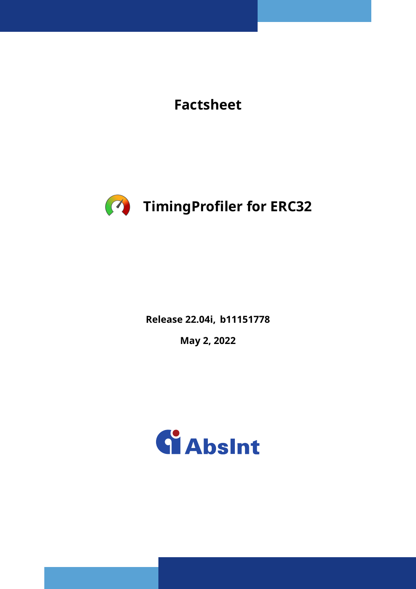**Factsheet**



**Release 22.04i, b11151778**

**May 2, 2022**

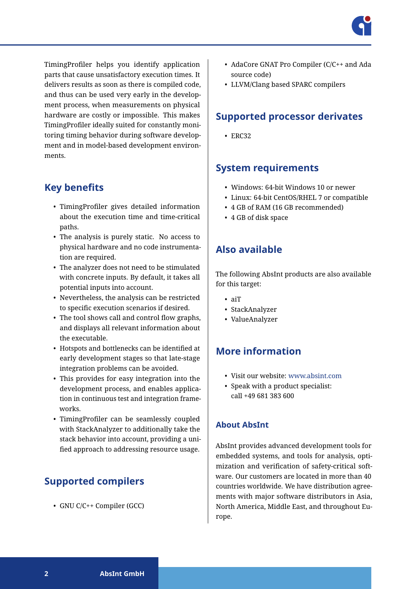

TimingProfiler helps you identify application parts that cause unsatisfactory execution times. It delivers results as soon as there is compiled code, and thus can be used very early in the development process, when measurements on physical hardware are costly or impossible. This makes TimingProfiler ideally suited for constantly monitoring timing behavior during software development and in model-based development environments.

### **Key benefits**

- TimingProfiler gives detailed information about the execution time and time-critical paths.
- The analysis is purely static. No access to physical hardware and no code instrumentation are required.
- The analyzer does not need to be stimulated with concrete inputs. By default, it takes all potential inputs into account.
- Nevertheless, the analysis can be restricted to specific execution scenarios if desired.
- The tool shows call and control flow graphs, and displays all relevant information about the executable.
- Hotspots and bottlenecks can be identified at early development stages so that late-stage integration problems can be avoided.
- This provides for easy integration into the development process, and enables application in continuous test and integration frameworks.
- TimingProfiler can be seamlessly coupled with StackAnalyzer to additionally take the stack behavior into account, providing a unified approach to addressing resource usage.

# **Supported compilers**

• GNU C/C++ Compiler (GCC)

- AdaCore GNAT Pro Compiler (C/C++ and Ada source code)
- LLVM/Clang based SPARC compilers

## **Supported processor derivates**

• ERC32

# **System requirements**

- Windows: 64-bit Windows 10 or newer
- Linux: 64-bit CentOS/RHEL 7 or compatible
- 4 GB of RAM (16 GB recommended)
- 4 GB of disk space

# **Also available**

The following AbsInt products are also available for this target:

- aiT
- StackAnalyzer
- ValueAnalyzer

# **More information**

- Visit our website: [www.absint.com](https://www.absint.com)
- Speak with a product specialist: call +49 681 383 600

#### **About AbsInt**

AbsInt provides advanced development tools for embedded systems, and tools for analysis, optimization and verification of safety-critical software. Our customers are located in more than 40 countries worldwide. We have distribution agreements with major software distributors in Asia, North America, Middle East, and throughout Europe.